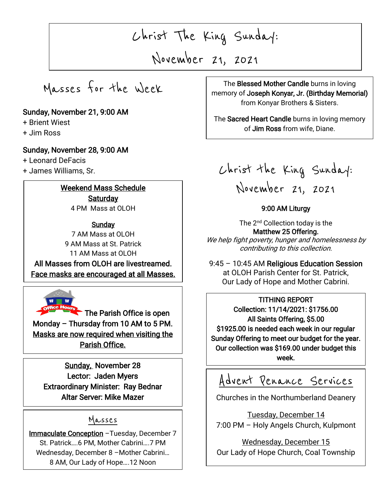Christ The King Sunday:

November 21, 2021

 $\overline{\phantom{0}}$ 

 $\overline{\phantom{a}}$ 

Masses for the Week

## Sunday, November 21, 9:00 AM

+ Brient Wiest

+ Jim Ross

I

I

### Sunday, November 28, 9:00 AM

+ Leonard DeFacis

+ James Williams, Sr.

# Weekend Mass Schedule **Saturday**

4 PM Mass at OLOH

**Sunday** 7 AM Mass at OLOH 9 AM Mass at St. Patrick 11 AM Mass at OLOH

All Masses from OLOH are livestreamed. Face masks are encouraged at all Masses.



The Parish Office is open Monday – Thursday from 10 AM to 5 PM. Masks are now required when visiting the Parish Office.

Sunday, November 28 Lector: Jaden Myers Extraordinary Minister: Ray Bednar Altar Server: Mike Mazer

# Masses

i, Immaculate Conception -Tuesday, December 7 ľ St. Patrick….6 PM, Mother Cabrini….7 PM Wednesday, December 8 –Mother Cabrini… 8 AM, Our Lady of Hope….12 Noon

The Blessed Mother Candle burns in loving<br>memory of Joseph Konyar, Jr. (Birthday Memorial) The Blessed Mother Candle burns in loving from Konyar Brothers & Sisters.

 $\overline{a}$ 

The Sacred Heart Candle burns in loving memory of Jim Ross from wife, Diane.

Christ the King Sunday: November 21, 2021

## 9:00 AM Liturgy

The 2<sup>nd</sup> Collection today is the Matthew 25 Offering. We help fight poverty, hunger and homelessness by contributing to this collection.

9:45 – 10:45 AM Religious Education Session at OLOH Parish Center for St. Patrick, Our Lady of Hope and Mother Cabrini.

### TITHING REPORT

Collection: 11/14/2021: \$1756.00 All Saints Offering, \$5.00 \$1925.00 is needed each week in our regular Sunday Offering to meet our budget for the year. Our collection was \$169.00 under budget this week.

# Advent Penance Services

Churches in the Northumberland Deanery

Tuesday, December 14 7:00 PM – Holy Angels Church, Kulpmont

Wednesday, December 15 Our Lady of Hope Church, Coal Township